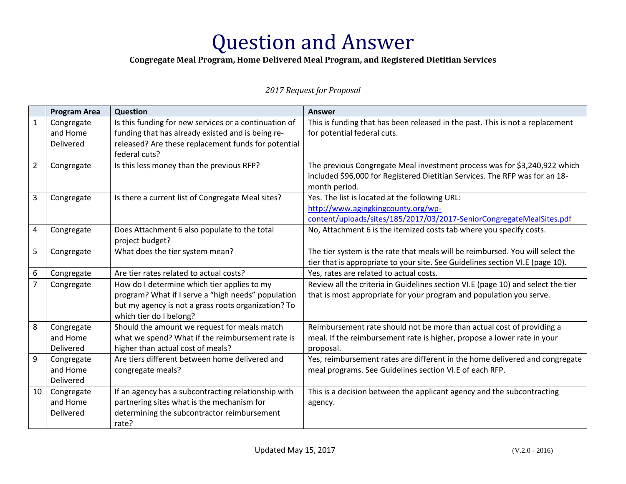### **Congregate Meal Program, Home Delivered Meal Program, and Registered Dietitian Services**

|                | <b>Program Area</b> | Question                                              | <b>Answer</b>                                                                    |
|----------------|---------------------|-------------------------------------------------------|----------------------------------------------------------------------------------|
| $\mathbf{1}$   | Congregate          | Is this funding for new services or a continuation of | This is funding that has been released in the past. This is not a replacement    |
|                | and Home            | funding that has already existed and is being re-     | for potential federal cuts.                                                      |
|                | Delivered           | released? Are these replacement funds for potential   |                                                                                  |
|                |                     | federal cuts?                                         |                                                                                  |
| $\overline{2}$ | Congregate          | Is this less money than the previous RFP?             | The previous Congregate Meal investment process was for \$3,240,922 which        |
|                |                     |                                                       | included \$96,000 for Registered Dietitian Services. The RFP was for an 18-      |
|                |                     |                                                       | month period.                                                                    |
| 3              | Congregate          | Is there a current list of Congregate Meal sites?     | Yes. The list is located at the following URL:                                   |
|                |                     |                                                       | http://www.agingkingcounty.org/wp-                                               |
|                |                     |                                                       | content/uploads/sites/185/2017/03/2017-SeniorCongregateMealSites.pdf             |
| 4              | Congregate          | Does Attachment 6 also populate to the total          | No, Attachment 6 is the itemized costs tab where you specify costs.              |
|                |                     | project budget?                                       |                                                                                  |
| 5              | Congregate          | What does the tier system mean?                       | The tier system is the rate that meals will be reimbursed. You will select the   |
|                |                     |                                                       | tier that is appropriate to your site. See Guidelines section VI.E (page 10).    |
| 6              | Congregate          | Are tier rates related to actual costs?               | Yes, rates are related to actual costs.                                          |
| $\overline{7}$ | Congregate          | How do I determine which tier applies to my           | Review all the criteria in Guidelines section VI.E (page 10) and select the tier |
|                |                     | program? What if I serve a "high needs" population    | that is most appropriate for your program and population you serve.              |
|                |                     | but my agency is not a grass roots organization? To   |                                                                                  |
|                |                     | which tier do I belong?                               |                                                                                  |
| 8              | Congregate          | Should the amount we request for meals match          | Reimbursement rate should not be more than actual cost of providing a            |
|                | and Home            | what we spend? What if the reimbursement rate is      | meal. If the reimbursement rate is higher, propose a lower rate in your          |
|                | Delivered           | higher than actual cost of meals?                     | proposal.                                                                        |
| 9              | Congregate          | Are tiers different between home delivered and        | Yes, reimbursement rates are different in the home delivered and congregate      |
|                | and Home            | congregate meals?                                     | meal programs. See Guidelines section VI.E of each RFP.                          |
|                | Delivered           |                                                       |                                                                                  |
| 10             | Congregate          | If an agency has a subcontracting relationship with   | This is a decision between the applicant agency and the subcontracting           |
|                | and Home            | partnering sites what is the mechanism for            | agency.                                                                          |
|                | Delivered           | determining the subcontractor reimbursement           |                                                                                  |
|                |                     | rate?                                                 |                                                                                  |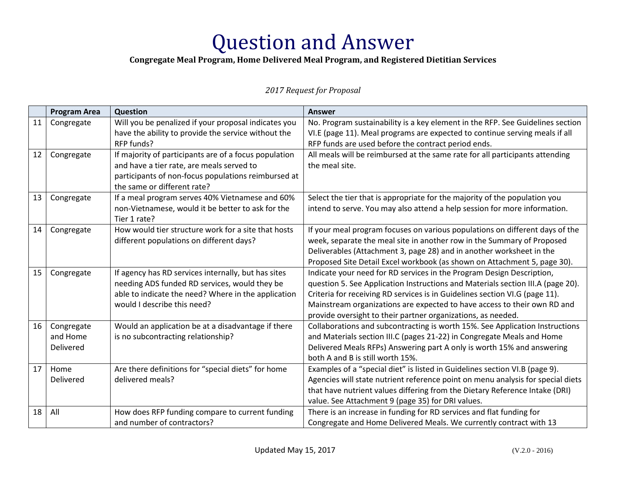### **Congregate Meal Program, Home Delivered Meal Program, and Registered Dietitian Services**

|    | <b>Program Area</b> | Question                                              | <b>Answer</b>                                                                   |
|----|---------------------|-------------------------------------------------------|---------------------------------------------------------------------------------|
| 11 | Congregate          | Will you be penalized if your proposal indicates you  | No. Program sustainability is a key element in the RFP. See Guidelines section  |
|    |                     | have the ability to provide the service without the   | VI.E (page 11). Meal programs are expected to continue serving meals if all     |
|    |                     | RFP funds?                                            | RFP funds are used before the contract period ends.                             |
| 12 | Congregate          | If majority of participants are of a focus population | All meals will be reimbursed at the same rate for all participants attending    |
|    |                     | and have a tier rate, are meals served to             | the meal site.                                                                  |
|    |                     | participants of non-focus populations reimbursed at   |                                                                                 |
|    |                     | the same or different rate?                           |                                                                                 |
| 13 | Congregate          | If a meal program serves 40% Vietnamese and 60%       | Select the tier that is appropriate for the majority of the population you      |
|    |                     | non-Vietnamese, would it be better to ask for the     | intend to serve. You may also attend a help session for more information.       |
|    |                     | Tier 1 rate?                                          |                                                                                 |
| 14 | Congregate          | How would tier structure work for a site that hosts   | If your meal program focuses on various populations on different days of the    |
|    |                     | different populations on different days?              | week, separate the meal site in another row in the Summary of Proposed          |
|    |                     |                                                       | Deliverables (Attachment 3, page 28) and in another worksheet in the            |
|    |                     |                                                       | Proposed Site Detail Excel workbook (as shown on Attachment 5, page 30).        |
| 15 | Congregate          | If agency has RD services internally, but has sites   | Indicate your need for RD services in the Program Design Description,           |
|    |                     | needing ADS funded RD services, would they be         | question 5. See Application Instructions and Materials section III.A (page 20). |
|    |                     | able to indicate the need? Where in the application   | Criteria for receiving RD services is in Guidelines section VI.G (page 11).     |
|    |                     | would I describe this need?                           | Mainstream organizations are expected to have access to their own RD and        |
|    |                     |                                                       | provide oversight to their partner organizations, as needed.                    |
| 16 | Congregate          | Would an application be at a disadvantage if there    | Collaborations and subcontracting is worth 15%. See Application Instructions    |
|    | and Home            | is no subcontracting relationship?                    | and Materials section III.C (pages 21-22) in Congregate Meals and Home          |
|    | Delivered           |                                                       | Delivered Meals RFPs) Answering part A only is worth 15% and answering          |
|    |                     |                                                       | both A and B is still worth 15%.                                                |
| 17 | Home                | Are there definitions for "special diets" for home    | Examples of a "special diet" is listed in Guidelines section VI.B (page 9).     |
|    | Delivered           | delivered meals?                                      | Agencies will state nutrient reference point on menu analysis for special diets |
|    |                     |                                                       | that have nutrient values differing from the Dietary Reference Intake (DRI)     |
|    |                     |                                                       | value. See Attachment 9 (page 35) for DRI values.                               |
| 18 | All                 | How does RFP funding compare to current funding       | There is an increase in funding for RD services and flat funding for            |
|    |                     | and number of contractors?                            | Congregate and Home Delivered Meals. We currently contract with 13              |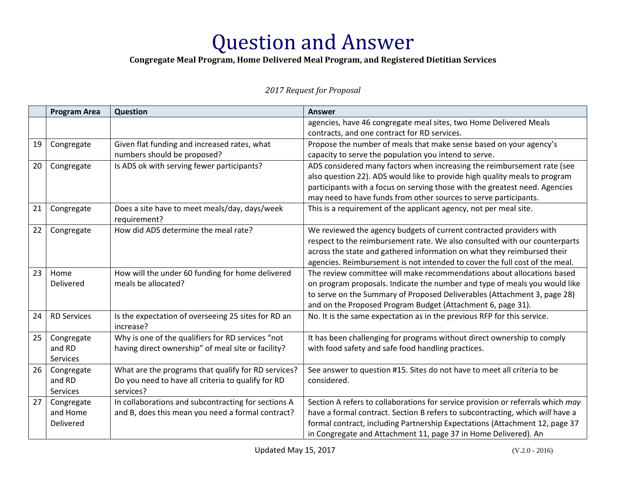### **Congregate Meal Program, Home Delivered Meal Program, and Registered Dietitian Services**

|    | <b>Program Area</b> | Question                                                         | <b>Answer</b>                                                                   |
|----|---------------------|------------------------------------------------------------------|---------------------------------------------------------------------------------|
|    |                     |                                                                  | agencies, have 46 congregate meal sites, two Home Delivered Meals               |
|    |                     |                                                                  | contracts, and one contract for RD services.                                    |
| 19 | Congregate          | Given flat funding and increased rates, what                     | Propose the number of meals that make sense based on your agency's              |
|    |                     | numbers should be proposed?                                      | capacity to serve the population you intend to serve.                           |
| 20 | Congregate          | Is ADS ok with serving fewer participants?                       | ADS considered many factors when increasing the reimbursement rate (see         |
|    |                     |                                                                  | also question 22). ADS would like to provide high quality meals to program      |
|    |                     |                                                                  | participants with a focus on serving those with the greatest need. Agencies     |
|    |                     |                                                                  | may need to have funds from other sources to serve participants.                |
| 21 | Congregate          | Does a site have to meet meals/day, days/week<br>requirement?    | This is a requirement of the applicant agency, not per meal site.               |
| 22 | Congregate          | How did ADS determine the meal rate?                             | We reviewed the agency budgets of current contracted providers with             |
|    |                     |                                                                  | respect to the reimbursement rate. We also consulted with our counterparts      |
|    |                     |                                                                  | across the state and gathered information on what they reimbursed their         |
|    |                     |                                                                  | agencies. Reimbursement is not intended to cover the full cost of the meal.     |
| 23 | Home                | How will the under 60 funding for home delivered                 | The review committee will make recommendations about allocations based          |
|    | Delivered           | meals be allocated?                                              | on program proposals. Indicate the number and type of meals you would like      |
|    |                     |                                                                  | to serve on the Summary of Proposed Deliverables (Attachment 3, page 28)        |
|    |                     |                                                                  | and on the Proposed Program Budget (Attachment 6, page 31).                     |
| 24 | <b>RD Services</b>  | Is the expectation of overseeing 25 sites for RD an<br>increase? | No. It is the same expectation as in the previous RFP for this service.         |
| 25 | Congregate          | Why is one of the qualifiers for RD services "not                | It has been challenging for programs without direct ownership to comply         |
|    | and RD              | having direct ownership" of meal site or facility?               | with food safety and safe food handling practices.                              |
|    | <b>Services</b>     |                                                                  |                                                                                 |
| 26 | Congregate          | What are the programs that qualify for RD services?              | See answer to question #15. Sites do not have to meet all criteria to be        |
|    | and RD              | Do you need to have all criteria to qualify for RD               | considered.                                                                     |
|    | Services            | services?                                                        |                                                                                 |
| 27 | Congregate          | In collaborations and subcontracting for sections A              | Section A refers to collaborations for service provision or referrals which may |
|    | and Home            | and B, does this mean you need a formal contract?                | have a formal contract. Section B refers to subcontracting, which will have a   |
|    | Delivered           |                                                                  | formal contract, including Partnership Expectations (Attachment 12, page 37     |
|    |                     |                                                                  | in Congregate and Attachment 11, page 37 in Home Delivered). An                 |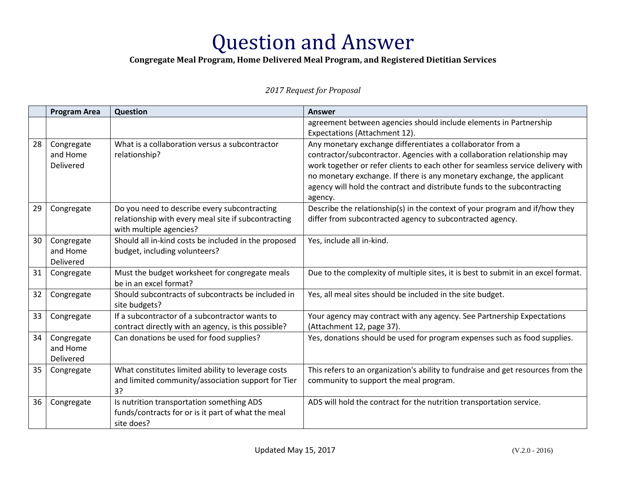### **Congregate Meal Program, Home Delivered Meal Program, and Registered Dietitian Services**

|    | <b>Program Area</b>                        | Question                                                                                                                       | <b>Answer</b>                                                                                                                                                                                                                                                                                                                                                                              |
|----|--------------------------------------------|--------------------------------------------------------------------------------------------------------------------------------|--------------------------------------------------------------------------------------------------------------------------------------------------------------------------------------------------------------------------------------------------------------------------------------------------------------------------------------------------------------------------------------------|
|    |                                            |                                                                                                                                | agreement between agencies should include elements in Partnership<br>Expectations (Attachment 12).                                                                                                                                                                                                                                                                                         |
| 28 | Congregate<br>and Home<br><b>Delivered</b> | What is a collaboration versus a subcontractor<br>relationship?                                                                | Any monetary exchange differentiates a collaborator from a<br>contractor/subcontractor. Agencies with a collaboration relationship may<br>work together or refer clients to each other for seamless service delivery with<br>no monetary exchange. If there is any monetary exchange, the applicant<br>agency will hold the contract and distribute funds to the subcontracting<br>agency. |
| 29 | Congregate                                 | Do you need to describe every subcontracting<br>relationship with every meal site if subcontracting<br>with multiple agencies? | Describe the relationship(s) in the context of your program and if/how they<br>differ from subcontracted agency to subcontracted agency.                                                                                                                                                                                                                                                   |
| 30 | Congregate<br>and Home<br>Delivered        | Should all in-kind costs be included in the proposed<br>budget, including volunteers?                                          | Yes, include all in-kind.                                                                                                                                                                                                                                                                                                                                                                  |
| 31 | Congregate                                 | Must the budget worksheet for congregate meals<br>be in an excel format?                                                       | Due to the complexity of multiple sites, it is best to submit in an excel format.                                                                                                                                                                                                                                                                                                          |
| 32 | Congregate                                 | Should subcontracts of subcontracts be included in<br>site budgets?                                                            | Yes, all meal sites should be included in the site budget.                                                                                                                                                                                                                                                                                                                                 |
| 33 | Congregate                                 | If a subcontractor of a subcontractor wants to<br>contract directly with an agency, is this possible?                          | Your agency may contract with any agency. See Partnership Expectations<br>(Attachment 12, page 37).                                                                                                                                                                                                                                                                                        |
| 34 | Congregate<br>and Home<br><b>Delivered</b> | Can donations be used for food supplies?                                                                                       | Yes, donations should be used for program expenses such as food supplies.                                                                                                                                                                                                                                                                                                                  |
| 35 | Congregate                                 | What constitutes limited ability to leverage costs<br>and limited community/association support for Tier<br>3?                 | This refers to an organization's ability to fundraise and get resources from the<br>community to support the meal program.                                                                                                                                                                                                                                                                 |
| 36 | Congregate                                 | Is nutrition transportation something ADS<br>funds/contracts for or is it part of what the meal<br>site does?                  | ADS will hold the contract for the nutrition transportation service.                                                                                                                                                                                                                                                                                                                       |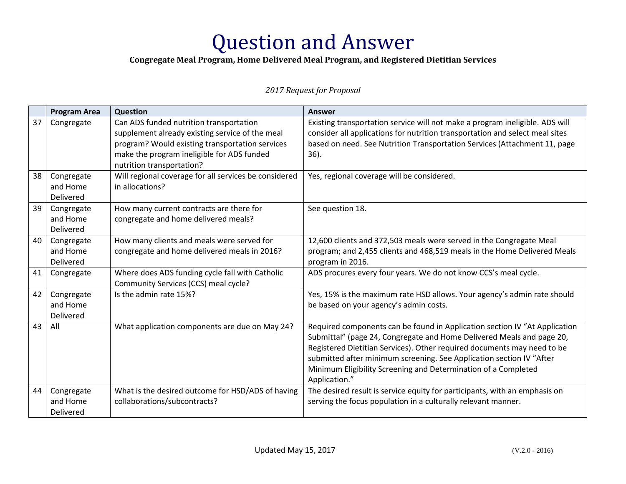### **Congregate Meal Program, Home Delivered Meal Program, and Registered Dietitian Services**

|    | <b>Program Area</b> | <b>Question</b>                                       | <b>Answer</b>                                                                |
|----|---------------------|-------------------------------------------------------|------------------------------------------------------------------------------|
| 37 | Congregate          | Can ADS funded nutrition transportation               | Existing transportation service will not make a program ineligible. ADS will |
|    |                     | supplement already existing service of the meal       | consider all applications for nutrition transportation and select meal sites |
|    |                     | program? Would existing transportation services       | based on need. See Nutrition Transportation Services (Attachment 11, page    |
|    |                     | make the program ineligible for ADS funded            | $36$ ).                                                                      |
|    |                     | nutrition transportation?                             |                                                                              |
| 38 | Congregate          | Will regional coverage for all services be considered | Yes, regional coverage will be considered.                                   |
|    | and Home            | in allocations?                                       |                                                                              |
|    | Delivered           |                                                       |                                                                              |
| 39 | Congregate          | How many current contracts are there for              | See question 18.                                                             |
|    | and Home            | congregate and home delivered meals?                  |                                                                              |
|    | <b>Delivered</b>    |                                                       |                                                                              |
| 40 | Congregate          | How many clients and meals were served for            | 12,600 clients and 372,503 meals were served in the Congregate Meal          |
|    | and Home            | congregate and home delivered meals in 2016?          | program; and 2,455 clients and 468,519 meals in the Home Delivered Meals     |
|    | Delivered           |                                                       | program in 2016.                                                             |
| 41 | Congregate          | Where does ADS funding cycle fall with Catholic       | ADS procures every four years. We do not know CCS's meal cycle.              |
|    |                     | Community Services (CCS) meal cycle?                  |                                                                              |
| 42 | Congregate          | Is the admin rate 15%?                                | Yes, 15% is the maximum rate HSD allows. Your agency's admin rate should     |
|    | and Home            |                                                       | be based on your agency's admin costs.                                       |
|    | Delivered           |                                                       |                                                                              |
| 43 | All                 | What application components are due on May 24?        | Required components can be found in Application section IV "At Application   |
|    |                     |                                                       | Submittal" (page 24, Congregate and Home Delivered Meals and page 20,        |
|    |                     |                                                       | Registered Dietitian Services). Other required documents may need to be      |
|    |                     |                                                       | submitted after minimum screening. See Application section IV "After         |
|    |                     |                                                       | Minimum Eligibility Screening and Determination of a Completed               |
|    |                     |                                                       | Application."                                                                |
| 44 | Congregate          | What is the desired outcome for HSD/ADS of having     | The desired result is service equity for participants, with an emphasis on   |
|    | and Home            | collaborations/subcontracts?                          | serving the focus population in a culturally relevant manner.                |
|    | Delivered           |                                                       |                                                                              |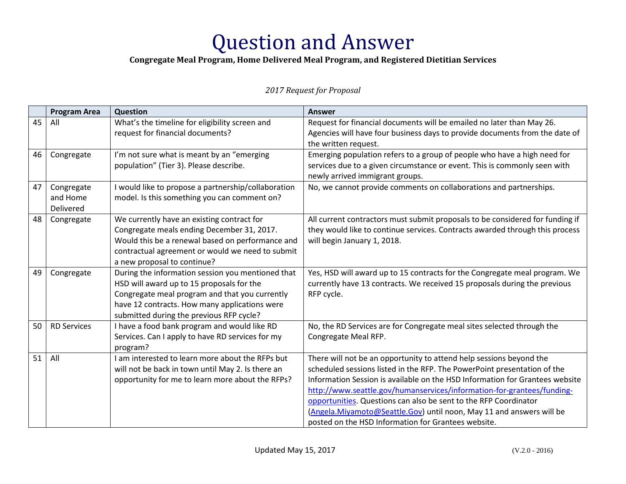### **Congregate Meal Program, Home Delivered Meal Program, and Registered Dietitian Services**

|    | <b>Program Area</b> | Question                                                     | <b>Answer</b>                                                                 |
|----|---------------------|--------------------------------------------------------------|-------------------------------------------------------------------------------|
| 45 | All                 | What's the timeline for eligibility screen and               | Request for financial documents will be emailed no later than May 26.         |
|    |                     | request for financial documents?                             | Agencies will have four business days to provide documents from the date of   |
|    |                     |                                                              | the written request.                                                          |
| 46 | Congregate          | I'm not sure what is meant by an "emerging                   | Emerging population refers to a group of people who have a high need for      |
|    |                     | population" (Tier 3). Please describe.                       | services due to a given circumstance or event. This is commonly seen with     |
|    |                     |                                                              | newly arrived immigrant groups.                                               |
| 47 | Congregate          | I would like to propose a partnership/collaboration          | No, we cannot provide comments on collaborations and partnerships.            |
|    | and Home            | model. Is this something you can comment on?                 |                                                                               |
|    | Delivered           |                                                              |                                                                               |
| 48 | Congregate          | We currently have an existing contract for                   | All current contractors must submit proposals to be considered for funding if |
|    |                     | Congregate meals ending December 31, 2017.                   | they would like to continue services. Contracts awarded through this process  |
|    |                     | Would this be a renewal based on performance and             | will begin January 1, 2018.                                                   |
|    |                     | contractual agreement or would we need to submit             |                                                                               |
|    |                     | a new proposal to continue?                                  |                                                                               |
| 49 | Congregate          | During the information session you mentioned that            | Yes, HSD will award up to 15 contracts for the Congregate meal program. We    |
|    |                     | HSD will award up to 15 proposals for the                    | currently have 13 contracts. We received 15 proposals during the previous     |
|    |                     | Congregate meal program and that you currently               | RFP cycle.                                                                    |
|    |                     | have 12 contracts. How many applications were                |                                                                               |
|    |                     | submitted during the previous RFP cycle?                     |                                                                               |
| 50 | <b>RD Services</b>  | I have a food bank program and would like RD                 | No, the RD Services are for Congregate meal sites selected through the        |
|    |                     | Services. Can I apply to have RD services for my<br>program? | Congregate Meal RFP.                                                          |
| 51 | All                 | I am interested to learn more about the RFPs but             | There will not be an opportunity to attend help sessions beyond the           |
|    |                     | will not be back in town until May 2. Is there an            | scheduled sessions listed in the RFP. The PowerPoint presentation of the      |
|    |                     | opportunity for me to learn more about the RFPs?             | Information Session is available on the HSD Information for Grantees website  |
|    |                     |                                                              | http://www.seattle.gov/humanservices/information-for-grantees/funding-        |
|    |                     |                                                              | opportunities. Questions can also be sent to the RFP Coordinator              |
|    |                     |                                                              | (Angela. Miyamoto@Seattle. Gov) until noon, May 11 and answers will be        |
|    |                     |                                                              | posted on the HSD Information for Grantees website.                           |